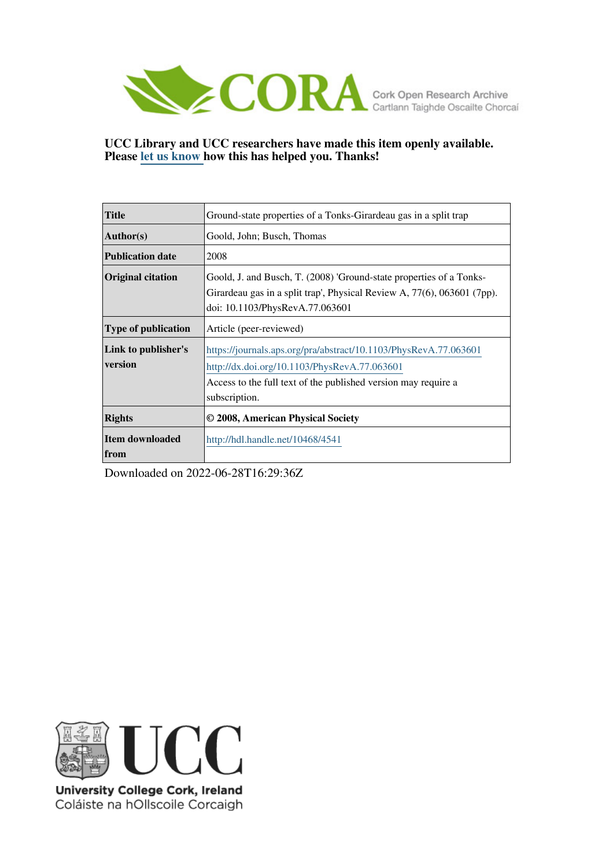

# **UCC Library and UCC researchers have made this item openly available. Please [let us know h](https://libguides.ucc.ie/openaccess/impact?suffix=4541&title=Ground-state properties of a Tonks-Girardeau gas in a split trap)ow this has helped you. Thanks!**

| <b>Title</b>                   | Ground-state properties of a Tonks-Girardeau gas in a split trap                                                                                                                                    |
|--------------------------------|-----------------------------------------------------------------------------------------------------------------------------------------------------------------------------------------------------|
| <b>Author(s)</b>               | Goold, John; Busch, Thomas                                                                                                                                                                          |
| <b>Publication date</b>        | 2008                                                                                                                                                                                                |
| <b>Original citation</b>       | Goold, J. and Busch, T. (2008) 'Ground-state properties of a Tonks-<br>Girardeau gas in a split trap', Physical Review A, 77(6), 063601 (7pp).<br>doi: 10.1103/PhysRevA.77.063601                   |
| <b>Type of publication</b>     | Article (peer-reviewed)                                                                                                                                                                             |
| Link to publisher's<br>version | https://journals.aps.org/pra/abstract/10.1103/PhysRevA.77.063601<br>http://dx.doi.org/10.1103/PhysRevA.77.063601<br>Access to the full text of the published version may require a<br>subscription. |
| <b>Rights</b>                  | © 2008, American Physical Society                                                                                                                                                                   |
| Item downloaded<br><b>from</b> | http://hdl.handle.net/10468/4541                                                                                                                                                                    |

Downloaded on 2022-06-28T16:29:36Z



University College Cork, Ireland Coláiste na hOllscoile Corcaigh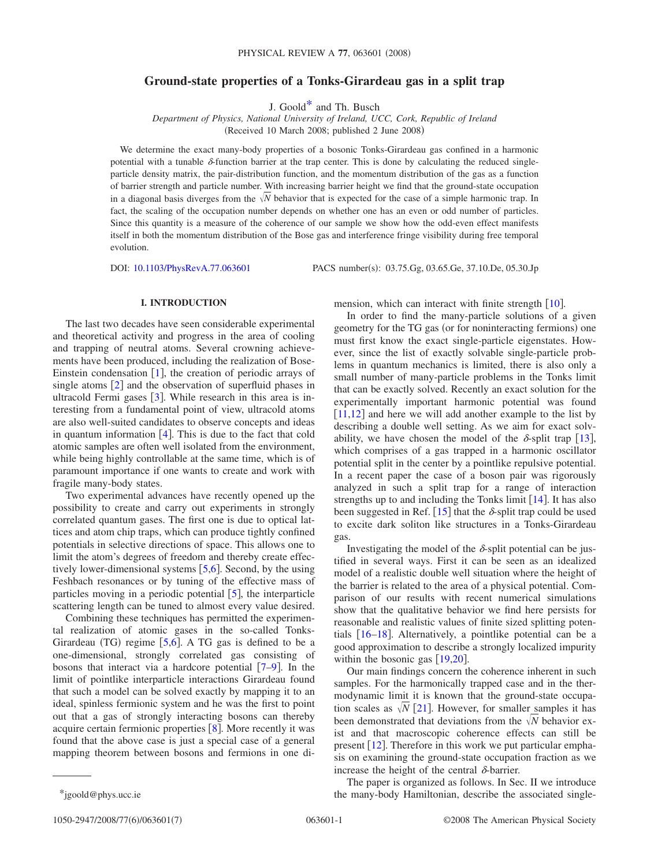## **Ground-state properties of a Tonks-Girardeau gas in a split trap**

J. Gool[d\\*](#page-1-0) and Th. Busch

*Department of Physics, National University of Ireland, UCC, Cork, Republic of Ireland*

(Received 10 March 2008; published 2 June 2008)

We determine the exact many-body properties of a bosonic Tonks-Girardeau gas confined in a harmonic potential with a tunable  $\delta$ -function barrier at the trap center. This is done by calculating the reduced singleparticle density matrix, the pair-distribution function, and the momentum distribution of the gas as a function of barrier strength and particle number. With increasing barrier height we find that the ground-state occupation in a diagonal basis diverges from the  $\sqrt{N}$  behavior that is expected for the case of a simple harmonic trap. In fact, the scaling of the occupation number depends on whether one has an even or odd number of particles. Since this quantity is a measure of the coherence of our sample we show how the odd-even effect manifests itself in both the momentum distribution of the Bose gas and interference fringe visibility during free temporal evolution.

DOI: [10.1103/PhysRevA.77.063601](http://dx.doi.org/10.1103/PhysRevA.77.063601)

PACS number(s): 03.75.Gg, 03.65.Ge, 37.10.De, 05.30.Jp

## **I. INTRODUCTION**

The last two decades have seen considerable experimental and theoretical activity and progress in the area of cooling and trapping of neutral atoms. Several crowning achievements have been produced, including the realization of Bose-Einstein condensation  $[1]$  $[1]$  $[1]$ , the creation of periodic arrays of single atoms  $\lceil 2 \rceil$  $\lceil 2 \rceil$  $\lceil 2 \rceil$  and the observation of superfluid phases in ultracold Fermi gases  $\lceil 3 \rceil$  $\lceil 3 \rceil$  $\lceil 3 \rceil$ . While research in this area is interesting from a fundamental point of view, ultracold atoms are also well-suited candidates to observe concepts and ideas in quantum information  $[4]$  $[4]$  $[4]$ . This is due to the fact that cold atomic samples are often well isolated from the environment, while being highly controllable at the same time, which is of paramount importance if one wants to create and work with fragile many-body states.

Two experimental advances have recently opened up the possibility to create and carry out experiments in strongly correlated quantum gases. The first one is due to optical lattices and atom chip traps, which can produce tightly confined potentials in selective directions of space. This allows one to limit the atom's degrees of freedom and thereby create effectively lower-dimensional systems  $[5,6]$  $[5,6]$  $[5,6]$  $[5,6]$ . Second, by the using Feshbach resonances or by tuning of the effective mass of particles moving in a periodic potential  $\lceil 5 \rceil$  $\lceil 5 \rceil$  $\lceil 5 \rceil$ , the interparticle scattering length can be tuned to almost every value desired.

Combining these techniques has permitted the experimental realization of atomic gases in the so-called Tonks-Girardeau (TG) regime  $[5,6]$  $[5,6]$  $[5,6]$  $[5,6]$ . A TG gas is defined to be a one-dimensional, strongly correlated gas consisting of bosons that interact via a hardcore potential  $[7-9]$  $[7-9]$  $[7-9]$ . In the limit of pointlike interparticle interactions Girardeau found that such a model can be solved exactly by mapping it to an ideal, spinless fermionic system and he was the first to point out that a gas of strongly interacting bosons can thereby acquire certain fermionic properties  $[8]$  $[8]$  $[8]$ . More recently it was found that the above case is just a special case of a general mapping theorem between bosons and fermions in one dimension, which can interact with finite strength  $\lceil 10 \rceil$  $\lceil 10 \rceil$  $\lceil 10 \rceil$ .

In order to find the many-particle solutions of a given geometry for the TG gas (or for noninteracting fermions) one must first know the exact single-particle eigenstates. However, since the list of exactly solvable single-particle problems in quantum mechanics is limited, there is also only a small number of many-particle problems in the Tonks limit that can be exactly solved. Recently an exact solution for the experimentally important harmonic potential was found  $[11,12]$  $[11,12]$  $[11,12]$  $[11,12]$  and here we will add another example to the list by describing a double well setting. As we aim for exact solvability, we have chosen the model of the  $\delta$ -split trap [[13](#page-7-12)], which comprises of a gas trapped in a harmonic oscillator potential split in the center by a pointlike repulsive potential. In a recent paper the case of a boson pair was rigorously analyzed in such a split trap for a range of interaction strengths up to and including the Tonks limit  $\lceil 14 \rceil$  $\lceil 14 \rceil$  $\lceil 14 \rceil$ . It has also been suggested in Ref. [[15](#page-7-14)] that the  $\delta$ -split trap could be used to excite dark soliton like structures in a Tonks-Girardeau gas.

Investigating the model of the  $\delta$ -split potential can be justified in several ways. First it can be seen as an idealized model of a realistic double well situation where the height of the barrier is related to the area of a physical potential. Comparison of our results with recent numerical simulations show that the qualitative behavior we find here persists for reasonable and realistic values of finite sized splitting potentials  $[16–18]$  $[16–18]$  $[16–18]$  $[16–18]$ . Alternatively, a pointlike potential can be a good approximation to describe a strongly localized impurity within the bosonic gas  $[19,20]$  $[19,20]$  $[19,20]$  $[19,20]$ .

Our main findings concern the coherence inherent in such samples. For the harmonically trapped case and in the thermodynamic limit it is known that the ground-state occupation scales as  $\sqrt{N}$  [[21](#page-7-19)]. However, for smaller samples it has been demonstrated that deviations from the  $\sqrt{N}$  behavior exist and that macroscopic coherence effects can still be present  $[12]$  $[12]$  $[12]$ . Therefore in this work we put particular emphasis on examining the ground-state occupation fraction as we increase the height of the central  $\delta$ -barrier.

<span id="page-1-0"></span>

The paper is organized as follows. In Sec. II we introduce \*jgoold@phys.ucc.ie the many-body Hamiltonian, describe the associated single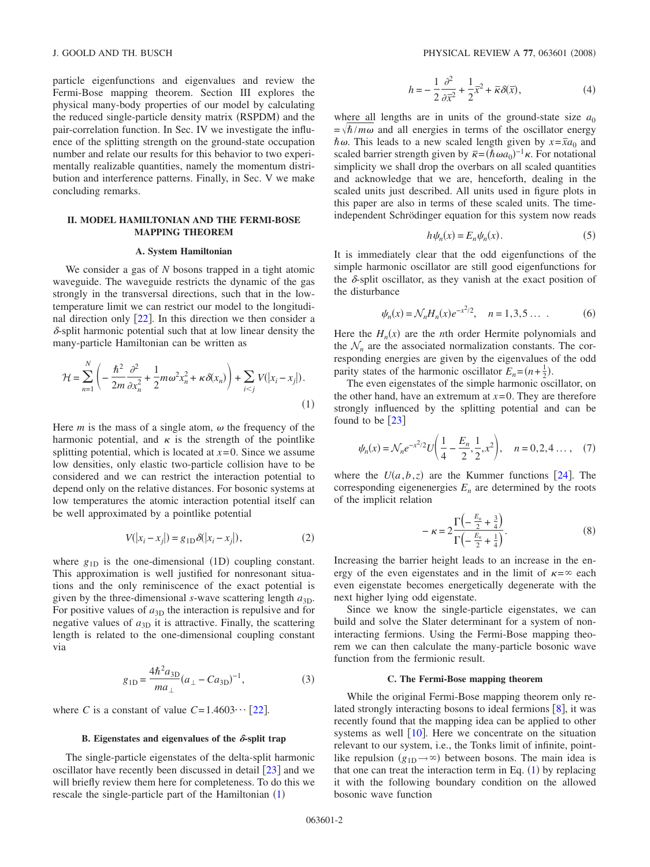particle eigenfunctions and eigenvalues and review the Fermi-Bose mapping theorem. Section III explores the physical many-body properties of our model by calculating the reduced single-particle density matrix (RSPDM) and the pair-correlation function. In Sec. IV we investigate the influence of the splitting strength on the ground-state occupation number and relate our results for this behavior to two experimentally realizable quantities, namely the momentum distribution and interference patterns. Finally, in Sec. V we make concluding remarks.

#### **II. MODEL HAMILTONIAN AND THE FERMI-BOSE MAPPING THEOREM**

#### **A. System Hamiltonian**

We consider a gas of *N* bosons trapped in a tight atomic waveguide. The waveguide restricts the dynamic of the gas strongly in the transversal directions, such that in the lowtemperature limit we can restrict our model to the longitudinal direction only  $[22]$  $[22]$  $[22]$ . In this direction we then consider a  $\delta$ -split harmonic potential such that at low linear density the many-particle Hamiltonian can be written as

<span id="page-2-0"></span>
$$
\mathcal{H} = \sum_{n=1}^{N} \left( -\frac{\hbar^2}{2m} \frac{\partial^2}{\partial x_n^2} + \frac{1}{2} m \omega^2 x_n^2 + \kappa \delta(x_n) \right) + \sum_{i < j} V(|x_i - x_j|). \tag{1}
$$

Here *m* is the mass of a single atom,  $\omega$  the frequency of the harmonic potential, and  $\kappa$  is the strength of the pointlike splitting potential, which is located at *x*= 0. Since we assume low densities, only elastic two-particle collision have to be considered and we can restrict the interaction potential to depend only on the relative distances. For bosonic systems at low temperatures the atomic interaction potential itself can be well approximated by a pointlike potential

$$
V(|x_i - x_j|) = g_{1D} \delta(|x_i - x_j|),
$$
 (2)

where  $g_{1D}$  is the one-dimensional (1D) coupling constant. This approximation is well justified for nonresonant situations and the only reminiscence of the exact potential is given by the three-dimensional *s*-wave scattering length  $a_{3D}$ . For positive values of  $a_{3D}$  the interaction is repulsive and for negative values of  $a_{3D}$  it is attractive. Finally, the scattering length is related to the one-dimensional coupling constant via

$$
g_{1D} = \frac{4\hbar^2 a_{3D}}{ma_{\perp}} (a_{\perp} - Ca_{3D})^{-1},
$$
 (3)

where *C* is a constant of value  $C = 1.4603 \cdots |22|$  $C = 1.4603 \cdots |22|$  $C = 1.4603 \cdots |22|$ .

#### **B.** Eigenstates and eigenvalues of the  $\delta$ -split trap

The single-particle eigenstates of the delta-split harmonic oscillator have recently been discussed in detail  $[23]$  $[23]$  $[23]$  and we will briefly review them here for completeness. To do this we rescale the single-particle part of the Hamiltonian  $(1)$  $(1)$  $(1)$ 

$$
h = -\frac{1}{2}\frac{\partial^2}{\partial \overline{x}^2} + \frac{1}{2}\overline{x}^2 + \overline{\kappa}\delta(\overline{x}),\tag{4}
$$

where all lengths are in units of the ground-state size  $a_0$  $=\sqrt{\hbar/m\omega}$  and all energies in terms of the oscillator energy  $\hbar \omega$ . This leads to a new scaled length given by  $x = \bar{x}a_0$  and scaled barrier strength given by  $\vec{\kappa} = (\hbar \omega a_0)^{-1} \kappa$ . For notational simplicity we shall drop the overbars on all scaled quantities and acknowledge that we are, henceforth, dealing in the scaled units just described. All units used in figure plots in this paper are also in terms of these scaled units. The timeindependent Schrödinger equation for this system now reads

$$
h\psi_n(x) = E_n\psi_n(x). \tag{5}
$$

It is immediately clear that the odd eigenfunctions of the simple harmonic oscillator are still good eigenfunctions for the  $\delta$ -split oscillator, as they vanish at the exact position of the disturbance

$$
\psi_n(x) = \mathcal{N}_n H_n(x) e^{-x^2/2}, \quad n = 1, 3, 5 \dots
$$
 (6)

Here the  $H_n(x)$  are the *n*th order Hermite polynomials and the  $\mathcal{N}_n$  are the associated normalization constants. The corresponding energies are given by the eigenvalues of the odd parity states of the harmonic oscillator  $E_n = (n + \frac{1}{2})$ .

The even eigenstates of the simple harmonic oscillator, on the other hand, have an extremum at  $x=0$ . They are therefore strongly influenced by the splitting potential and can be found to be  $\lceil 23 \rceil$  $\lceil 23 \rceil$  $\lceil 23 \rceil$ 

$$
\psi_n(x) = \mathcal{N}_n e^{-x^2/2} U\bigg(\frac{1}{4} - \frac{E_n}{2}, \frac{1}{2}, x^2\bigg), \quad n = 0, 2, 4, \dots, \quad (7)
$$

where the  $U(a, b, z)$  are the Kummer functions [[24](#page-7-22)]. The corresponding eigenenergies  $E_n$  are determined by the roots of the implicit relation

$$
-\kappa = 2\frac{\Gamma\left(-\frac{E_n}{2} + \frac{3}{4}\right)}{\Gamma\left(-\frac{E_n}{2} + \frac{1}{4}\right)}.
$$
\n(8)

Increasing the barrier height leads to an increase in the energy of the even eigenstates and in the limit of  $\kappa = \infty$  each even eigenstate becomes energetically degenerate with the next higher lying odd eigenstate.

Since we know the single-particle eigenstates, we can build and solve the Slater determinant for a system of noninteracting fermions. Using the Fermi-Bose mapping theorem we can then calculate the many-particle bosonic wave function from the fermionic result.

#### **C. The Fermi-Bose mapping theorem**

While the original Fermi-Bose mapping theorem only related strongly interacting bosons to ideal fermions  $[8]$  $[8]$  $[8]$ , it was recently found that the mapping idea can be applied to other systems as well  $\lceil 10 \rceil$  $\lceil 10 \rceil$  $\lceil 10 \rceil$ . Here we concentrate on the situation relevant to our system, i.e., the Tonks limit of infinite, pointlike repulsion  $(g_{1D} \rightarrow \infty)$  between bosons. The main idea is that one can treat the interaction term in Eq.  $(1)$  $(1)$  $(1)$  by replacing it with the following boundary condition on the allowed bosonic wave function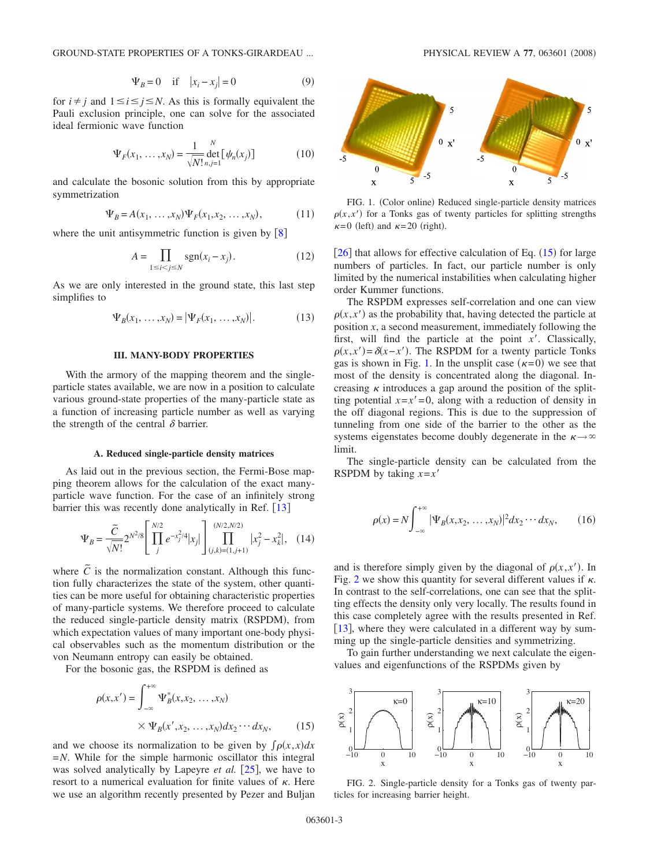GROUND-STATE PROPERTIES OF A TONKS-GIRARDEAU ... PHYSICAL REVIEW A 77, 063601 (2008)

$$
\Psi_B = 0 \quad \text{if} \quad |x_i - x_j| = 0 \tag{9}
$$

for  $i \neq j$  and  $1 \leq i \leq j \leq N$ . As this is formally equivalent the Pauli exclusion principle, one can solve for the associated ideal fermionic wave function

$$
\Psi_F(x_1, ..., x_N) = \frac{1}{\sqrt{N!}} \det_{n,j=1}^N [\psi_n(x_j)]
$$
\n(10)

and calculate the bosonic solution from this by appropriate symmetrization

$$
\Psi_B = A(x_1, \dots, x_N) \Psi_F(x_1, x_2, \dots, x_N), \tag{11}
$$

where the unit antisymmetric function is given by  $[8]$  $[8]$  $[8]$ 

$$
A = \prod_{1 \le i < j \le N} \text{sgn}(x_i - x_j). \tag{12}
$$

As we are only interested in the ground state, this last step simplifies to

$$
\Psi_B(x_1, ..., x_N) = |\Psi_F(x_1, ..., x_N)|. \tag{13}
$$

## **III. MANY-BODY PROPERTIES**

With the armory of the mapping theorem and the singleparticle states available, we are now in a position to calculate various ground-state properties of the many-particle state as a function of increasing particle number as well as varying the strength of the central  $\delta$  barrier.

#### **A. Reduced single-particle density matrices**

As laid out in the previous section, the Fermi-Bose mapping theorem allows for the calculation of the exact manyparticle wave function. For the case of an infinitely strong barrier this was recently done analytically in Ref.  $[13]$  $[13]$  $[13]$ 

$$
\Psi_B = \frac{\tilde{C}}{\sqrt{N!}} 2^{N^2/8} \left[ \prod_j^{N/2} e^{-x_j^2/4} |x_j| \right]_{(j,k)=(1,j+1)}^{(N/2,N/2)} |x_j^2 - x_k^2|, \quad (14)
$$

where  $\tilde{C}$  is the normalization constant. Although this function fully characterizes the state of the system, other quantities can be more useful for obtaining characteristic properties of many-particle systems. We therefore proceed to calculate the reduced single-particle density matrix (RSPDM), from which expectation values of many important one-body physical observables such as the momentum distribution or the von Neumann entropy can easily be obtained.

<span id="page-3-0"></span>For the bosonic gas, the RSPDM is defined as

$$
\rho(x, x') = \int_{-\infty}^{+\infty} \Psi_B^*(x, x_2, \dots, x_N)
$$

$$
\times \Psi_B(x', x_2, \dots, x_N) dx_2 \cdots dx_N, \qquad (15)
$$

and we choose its normalization to be given by  $\int \rho(x,x)dx$ =*N*. While for the simple harmonic oscillator this integral was solved analytically by Lapeyre *et al.* [[25](#page-7-23)], we have to resort to a numerical evaluation for finite values of  $\kappa$ . Here we use an algorithm recently presented by Pezer and Buljan

<span id="page-3-1"></span>

FIG. 1. (Color online) Reduced single-particle density matrices  $\rho(x, x')$  for a Tonks gas of twenty particles for splitting strengths  $\kappa$ =0 (left) and  $\kappa$ =20 (right).

 $[26]$  $[26]$  $[26]$  that allows for effective calculation of Eq.  $(15)$  $(15)$  $(15)$  for large numbers of particles. In fact, our particle number is only limited by the numerical instabilities when calculating higher order Kummer functions.

The RSPDM expresses self-correlation and one can view  $\rho(x, x')$  as the probability that, having detected the particle at position *x*, a second measurement, immediately following the first, will find the particle at the point *x*. Classically,  $\rho(x, x') = \delta(x - x')$ . The RSPDM for a twenty particle Tonks gas is shown in Fig. [1.](#page-3-1) In the unsplit case  $(\kappa=0)$  we see that most of the density is concentrated along the diagonal. Increasing  $\kappa$  introduces a gap around the position of the splitting potential  $x=x'=0$ , along with a reduction of density in the off diagonal regions. This is due to the suppression of tunneling from one side of the barrier to the other as the systems eigenstates become doubly degenerate in the  $\kappa \rightarrow \infty$ limit.

The single-particle density can be calculated from the RSPDM by taking *x*=*x*

$$
\rho(x) = N \int_{-\infty}^{+\infty} |\Psi_B(x, x_2, \dots, x_N)|^2 dx_2 \cdots dx_N, \qquad (16)
$$

and is therefore simply given by the diagonal of  $\rho(x, x')$ . In Fig. [2](#page-3-2) we show this quantity for several different values if  $\kappa$ . In contrast to the self-correlations, one can see that the splitting effects the density only very locally. The results found in this case completely agree with the results presented in Ref. [[13](#page-7-12)], where they were calculated in a different way by summing up the single-particle densities and symmetrizing.

To gain further understanding we next calculate the eigenvalues and eigenfunctions of the RSPDMs given by

<span id="page-3-2"></span>

FIG. 2. Single-particle density for a Tonks gas of twenty particles for increasing barrier height.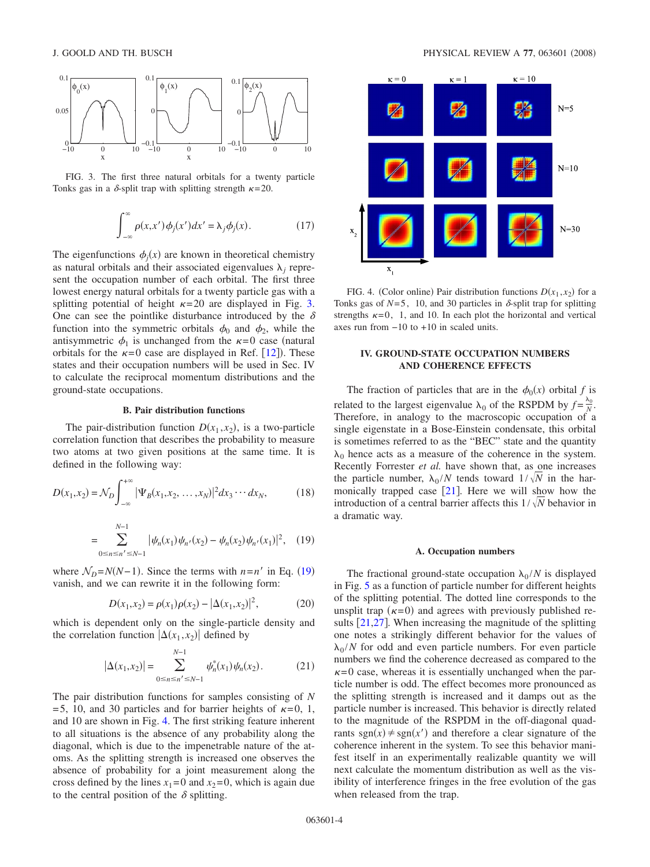<span id="page-4-0"></span>

FIG. 3. The first three natural orbitals for a twenty particle Tonks gas in a  $\delta$ -split trap with splitting strength  $\kappa = 20$ .

$$
\int_{-\infty}^{\infty} \rho(x, x') \phi_j(x') dx' = \lambda_j \phi_j(x). \tag{17}
$$

The eigenfunctions  $\phi_j(x)$  are known in theoretical chemistry as natural orbitals and their associated eigenvalues  $\lambda$ , represent the occupation number of each orbital. The first three lowest energy natural orbitals for a twenty particle gas with a splitting potential of height  $\kappa = 20$  are displayed in Fig. [3.](#page-4-0) One can see the pointlike disturbance introduced by the  $\delta$ function into the symmetric orbitals  $\phi_0$  and  $\phi_2$ , while the antisymmetric  $\phi_1$  is unchanged from the  $\kappa = 0$  case (natural orbitals for the  $\kappa = 0$  case are displayed in Ref. [[12](#page-7-11)]). These states and their occupation numbers will be used in Sec. IV to calculate the reciprocal momentum distributions and the ground-state occupations.

#### **B. Pair distribution functions**

The pair-distribution function  $D(x_1, x_2)$ , is a two-particle correlation function that describes the probability to measure two atoms at two given positions at the same time. It is defined in the following way:

$$
D(x_1, x_2) = \mathcal{N}_D \int_{-\infty}^{+\infty} |\Psi_B(x_1, x_2, \dots, x_N)|^2 dx_3 \cdots dx_N,
$$
 (18)

$$
= \sum_{0 \le n \le n' \le N-1}^{N-1} |\psi_n(x_1)\psi_{n'}(x_2) - \psi_n(x_2)\psi_{n'}(x_1)|^2, \quad (19)
$$

<span id="page-4-1"></span>where  $N_D = N(N-1)$ . Since the terms with  $n = n'$  in Eq. ([19](#page-4-1)) vanish, and we can rewrite it in the following form:

$$
D(x_1, x_2) = \rho(x_1)\rho(x_2) - |\Delta(x_1, x_2)|^2, \tag{20}
$$

which is dependent only on the single-particle density and the correlation function  $|\Delta(x_1, x_2)|$  defined by

$$
|\Delta(x_1, x_2)| = \sum_{0 \le n \le n' \le N-1}^{N-1} \psi_n^*(x_1) \psi_n(x_2).
$$
 (21)

The pair distribution functions for samples consisting of *N* = 5, 10, and 30 particles and for barrier heights of  $\kappa = 0, 1$ , and 10 are shown in Fig. [4.](#page-4-2) The first striking feature inherent to all situations is the absence of any probability along the diagonal, which is due to the impenetrable nature of the atoms. As the splitting strength is increased one observes the absence of probability for a joint measurement along the cross defined by the lines  $x_1 = 0$  and  $x_2 = 0$ , which is again due to the central position of the  $\delta$  splitting.

<span id="page-4-2"></span>

FIG. 4. (Color online) Pair distribution functions  $D(x_1, x_2)$  for a Tonks gas of  $N=5$ , 10, and 30 particles in  $\delta$ -split trap for splitting strengths  $\kappa = 0$ , 1, and 10. In each plot the horizontal and vertical axes run from −10 to +10 in scaled units.

## **IV. GROUND-STATE OCCUPATION NUMBERS AND COHERENCE EFFECTS**

The fraction of particles that are in the  $\phi_0(x)$  orbital  $f$  is related to the largest eigenvalue  $\lambda_0$  of the RSPDM by  $f = \frac{\lambda_0}{N}$ . Therefore, in analogy to the macroscopic occupation of a single eigenstate in a Bose-Einstein condensate, this orbital is sometimes referred to as the "BEC" state and the quantity  $\lambda_0$  hence acts as a measure of the coherence in the system. Recently Forrester *et al.* have shown that, as one increases the particle number,  $\lambda_0 / N$  tends toward  $1 / \sqrt{N}$  in the harmonically trapped case  $[21]$  $[21]$  $[21]$ . Here we will show how the introduction of a central barrier affects this  $1/\sqrt{N}$  behavior in a dramatic way.

#### **A. Occupation numbers**

The fractional ground-state occupation  $\lambda_0 / N$  is displayed in Fig. [5](#page-5-0) as a function of particle number for different heights of the splitting potential. The dotted line corresponds to the unsplit trap  $(\kappa = 0)$  and agrees with previously published results  $[21,27]$  $[21,27]$  $[21,27]$  $[21,27]$ . When increasing the magnitude of the splitting one notes a strikingly different behavior for the values of  $\lambda_0/N$  for odd and even particle numbers. For even particle numbers we find the coherence decreased as compared to the  $\kappa$ =0 case, whereas it is essentially unchanged when the particle number is odd. The effect becomes more pronounced as the splitting strength is increased and it damps out as the particle number is increased. This behavior is directly related to the magnitude of the RSPDM in the off-diagonal quadrants  $sgn(x) \neq sgn(x')$  and therefore a clear signature of the coherence inherent in the system. To see this behavior manifest itself in an experimentally realizable quantity we will next calculate the momentum distribution as well as the visibility of interference fringes in the free evolution of the gas when released from the trap.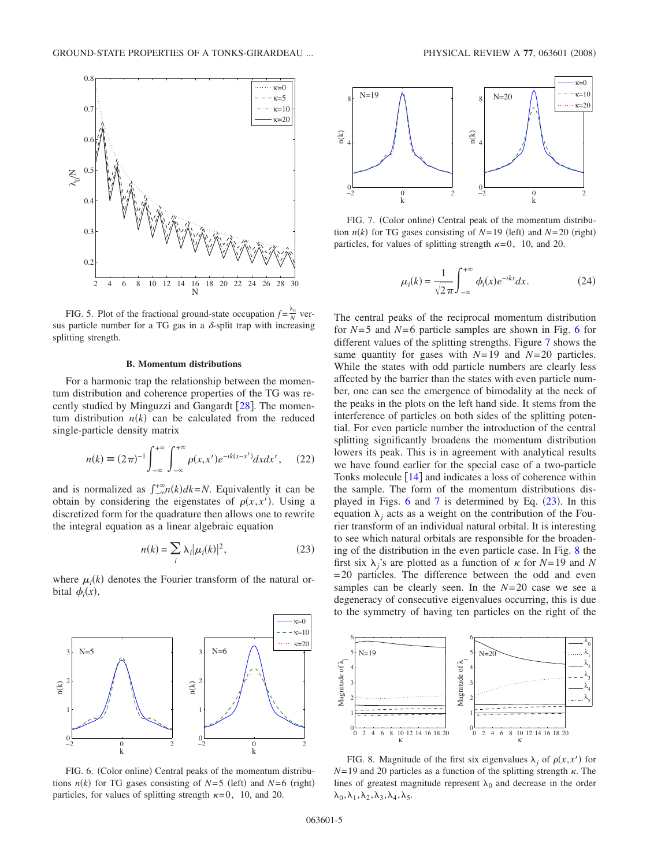<span id="page-5-0"></span>

FIG. 5. Plot of the fractional ground-state occupation  $f = \frac{\lambda_0}{N}$  versus particle number for a TG gas in a  $\delta$ -split trap with increasing splitting strength.

## **B. Momentum distributions**

For a harmonic trap the relationship between the momentum distribution and coherence properties of the TG was recently studied by Minguzzi and Gangardt  $[28]$  $[28]$  $[28]$ . The momentum distribution  $n(k)$  can be calculated from the reduced single-particle density matrix

$$
n(k) \equiv (2\pi)^{-1} \int_{-\infty}^{+\infty} \int_{-\infty}^{+\infty} \rho(x, x') e^{-ik(x - x')} dx dx', \quad (22)
$$

and is normalized as  $\int_{-\infty}^{+\infty} n(k)dk = N$ . Equivalently it can be obtain by considering the eigenstates of  $\rho(x, x')$ . Using a discretized form for the quadrature then allows one to rewrite the integral equation as a linear algebraic equation

$$
n(k) = \sum_{i} \lambda_i |\mu_i(k)|^2,
$$
 (23)

<span id="page-5-3"></span>where  $\mu_i(k)$  denotes the Fourier transform of the natural orbital  $\phi_i(x)$ ,

<span id="page-5-1"></span>

FIG. 6. (Color online) Central peaks of the momentum distributions  $n(k)$  for TG gases consisting of  $N=5$  (left) and  $N=6$  (right) particles, for values of splitting strength  $\kappa = 0$ , 10, and 20.

<span id="page-5-2"></span>

FIG. 7. (Color online) Central peak of the momentum distribution  $n(k)$  for TG gases consisting of  $N=19$  (left) and  $N=20$  (right) particles, for values of splitting strength  $\kappa = 0$ , 10, and 20.

$$
\mu_i(k) = \frac{1}{\sqrt{2\pi}} \int_{-\infty}^{+\infty} \phi_i(x) e^{-ikx} dx.
$$
 (24)

The central peaks of the reciprocal momentum distribution for *N*= 5 and *N*= 6 particle samples are shown in Fig. [6](#page-5-1) for different values of the splitting strengths. Figure [7](#page-5-2) shows the same quantity for gases with *N*= 19 and *N*= 20 particles. While the states with odd particle numbers are clearly less affected by the barrier than the states with even particle number, one can see the emergence of bimodality at the neck of the peaks in the plots on the left hand side. It stems from the interference of particles on both sides of the splitting potential. For even particle number the introduction of the central splitting significantly broadens the momentum distribution lowers its peak. This is in agreement with analytical results we have found earlier for the special case of a two-particle Tonks molecule  $[14]$  $[14]$  $[14]$  and indicates a loss of coherence within the sample. The form of the momentum distributions displayed in Figs.  $6$  and  $7$  is determined by Eq.  $(23)$  $(23)$  $(23)$ . In this equation  $\lambda_i$  acts as a weight on the contribution of the Fourier transform of an individual natural orbital. It is interesting to see which natural orbitals are responsible for the broadening of the distribution in the even particle case. In Fig. [8](#page-5-4) the first six  $\lambda_i$ 's are plotted as a function of  $\kappa$  for *N*=19 and *N* = 20 particles. The difference between the odd and even samples can be clearly seen. In the *N*= 20 case we see a degeneracy of consecutive eigenvalues occurring, this is due to the symmetry of having ten particles on the right of the

<span id="page-5-4"></span>

FIG. 8. Magnitude of the first six eigenvalues  $\lambda_j$  of  $\rho(x, x')$  for  $N=19$  and 20 particles as a function of the splitting strength  $\kappa$ . The lines of greatest magnitude represent  $\lambda_0$  and decrease in the order  $\lambda_0, \lambda_1, \lambda_2, \lambda_3, \lambda_4, \lambda_5.$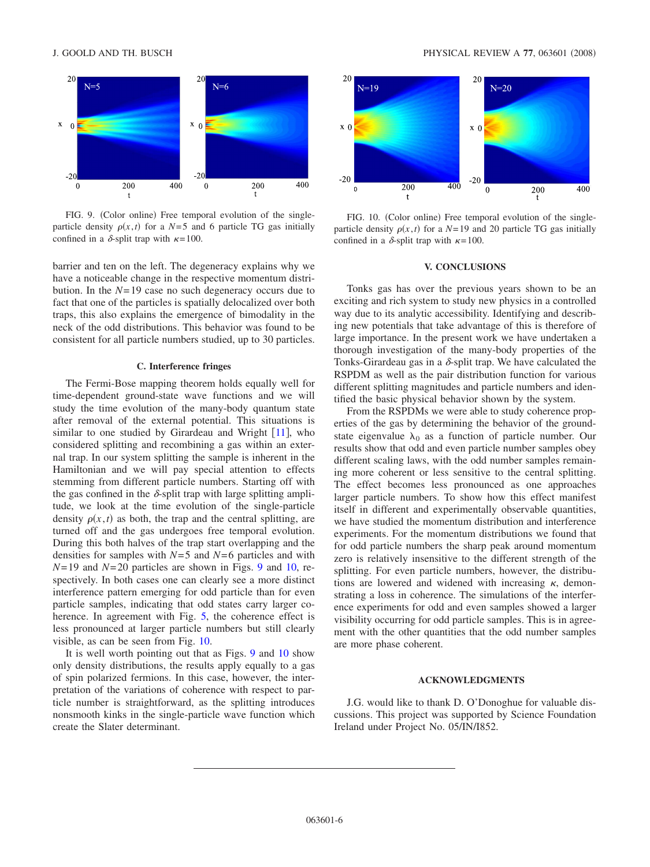<span id="page-6-0"></span>

FIG. 9. (Color online) Free temporal evolution of the singleparticle density  $\rho(x, t)$  for a  $N=5$  and 6 particle TG gas initially confined in a  $\delta$ -split trap with  $\kappa = 100$ .

barrier and ten on the left. The degeneracy explains why we have a noticeable change in the respective momentum distribution. In the *N*= 19 case no such degeneracy occurs due to fact that one of the particles is spatially delocalized over both traps, this also explains the emergence of bimodality in the neck of the odd distributions. This behavior was found to be consistent for all particle numbers studied, up to 30 particles.

## **C. Interference fringes**

The Fermi-Bose mapping theorem holds equally well for time-dependent ground-state wave functions and we will study the time evolution of the many-body quantum state after removal of the external potential. This situations is similar to one studied by Girardeau and Wright  $[11]$  $[11]$  $[11]$ , who considered splitting and recombining a gas within an external trap. In our system splitting the sample is inherent in the Hamiltonian and we will pay special attention to effects stemming from different particle numbers. Starting off with the gas confined in the  $\delta$ -split trap with large splitting amplitude, we look at the time evolution of the single-particle density  $\rho(x, t)$  as both, the trap and the central splitting, are turned off and the gas undergoes free temporal evolution. During this both halves of the trap start overlapping and the densities for samples with *N*= 5 and *N*= 6 particles and with  $N=19$  $N=19$  and  $N=20$  particles are shown in Figs. 9 and [10,](#page-6-1) respectively. In both cases one can clearly see a more distinct interference pattern emerging for odd particle than for even particle samples, indicating that odd states carry larger co-herence. In agreement with Fig. [5,](#page-5-0) the coherence effect is less pronounced at larger particle numbers but still clearly visible, as can be seen from Fig. [10.](#page-6-1)

It is well worth pointing out that as Figs. [9](#page-6-0) and [10](#page-6-1) show only density distributions, the results apply equally to a gas of spin polarized fermions. In this case, however, the interpretation of the variations of coherence with respect to particle number is straightforward, as the splitting introduces nonsmooth kinks in the single-particle wave function which create the Slater determinant.

<span id="page-6-1"></span>

FIG. 10. (Color online) Free temporal evolution of the singleparticle density  $\rho(x, t)$  for a  $N=19$  and 20 particle TG gas initially confined in a  $\delta$ -split trap with  $\kappa = 100$ .

## **V. CONCLUSIONS**

Tonks gas has over the previous years shown to be an exciting and rich system to study new physics in a controlled way due to its analytic accessibility. Identifying and describing new potentials that take advantage of this is therefore of large importance. In the present work we have undertaken a thorough investigation of the many-body properties of the Tonks-Girardeau gas in a  $\delta$ -split trap. We have calculated the RSPDM as well as the pair distribution function for various different splitting magnitudes and particle numbers and identified the basic physical behavior shown by the system.

From the RSPDMs we were able to study coherence properties of the gas by determining the behavior of the groundstate eigenvalue  $\lambda_0$  as a function of particle number. Our results show that odd and even particle number samples obey different scaling laws, with the odd number samples remaining more coherent or less sensitive to the central splitting. The effect becomes less pronounced as one approaches larger particle numbers. To show how this effect manifest itself in different and experimentally observable quantities, we have studied the momentum distribution and interference experiments. For the momentum distributions we found that for odd particle numbers the sharp peak around momentum zero is relatively insensitive to the different strength of the splitting. For even particle numbers, however, the distributions are lowered and widened with increasing  $\kappa$ , demonstrating a loss in coherence. The simulations of the interference experiments for odd and even samples showed a larger visibility occurring for odd particle samples. This is in agreement with the other quantities that the odd number samples are more phase coherent.

## **ACKNOWLEDGMENTS**

J.G. would like to thank D. O'Donoghue for valuable discussions. This project was supported by Science Foundation Ireland under Project No. 05/IN/I852.